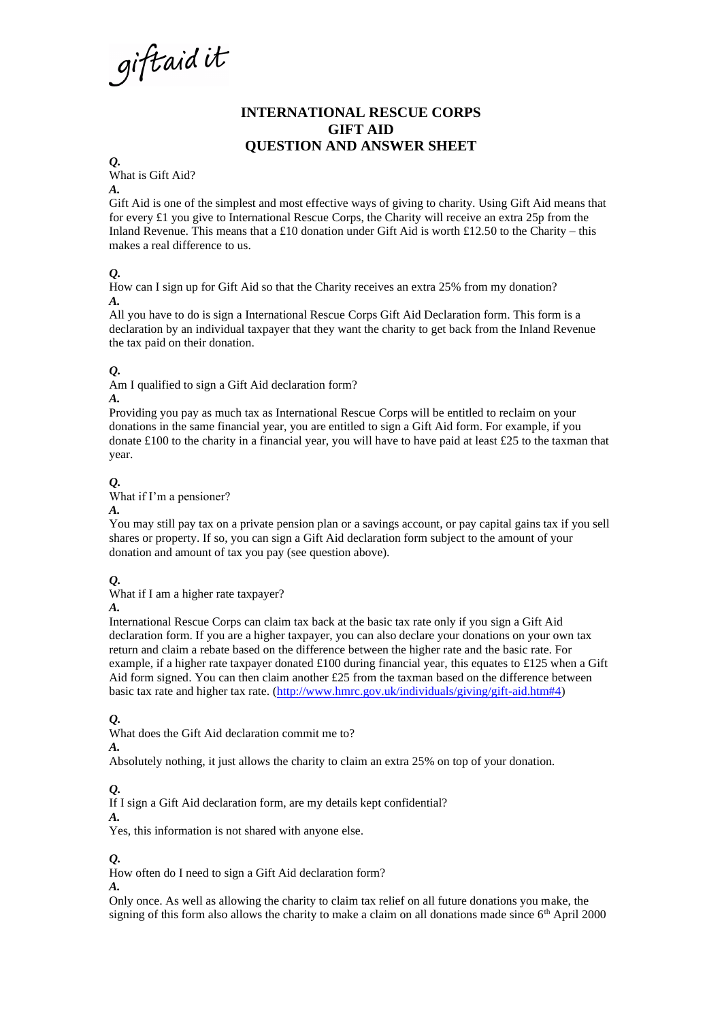giftaidit

# **INTERNATIONAL RESCUE CORPS GIFT AID QUESTION AND ANSWER SHEET**

*Q.*

What is Gift Aid?

*A.*

Gift Aid is one of the simplest and most effective ways of giving to charity. Using Gift Aid means that for every £1 you give to International Rescue Corps, the Charity will receive an extra 25p from the Inland Revenue. This means that a £10 donation under Gift Aid is worth £12.50 to the Charity – this makes a real difference to us.

#### *Q.*

How can I sign up for Gift Aid so that the Charity receives an extra 25% from my donation? *A.*

All you have to do is sign a International Rescue Corps Gift Aid Declaration form. This form is a declaration by an individual taxpayer that they want the charity to get back from the Inland Revenue the tax paid on their donation.

#### *Q.*

Am I qualified to sign a Gift Aid declaration form?

#### *A.*

Providing you pay as much tax as International Rescue Corps will be entitled to reclaim on your donations in the same financial year, you are entitled to sign a Gift Aid form. For example, if you donate £100 to the charity in a financial year, you will have to have paid at least £25 to the taxman that year.

## *Q.*

What if I'm a pensioner?

*A.*

You may still pay tax on a private pension plan or a savings account, or pay capital gains tax if you sell shares or property. If so, you can sign a Gift Aid declaration form subject to the amount of your donation and amount of tax you pay (see question above).

## *Q.*

What if I am a higher rate taxpayer?

#### *A.*

International Rescue Corps can claim tax back at the basic tax rate only if you sign a Gift Aid declaration form. If you are a higher taxpayer, you can also declare your donations on your own tax return and claim a rebate based on the difference between the higher rate and the basic rate. For example, if a higher rate taxpayer donated  $\text{\pounds}100$  during financial year, this equates to  $\text{\pounds}125$  when a Gift Aid form signed. You can then claim another  $£25$  from the taxman based on the difference between basic tax rate and higher tax rate. [\(http://www.hmrc.gov.uk/individuals/giving/gift-aid.htm#4\)](http://www.hmrc.gov.uk/individuals/giving/gift-aid.htm#4)

## *Q.*

What does the Gift Aid declaration commit me to? *A.*

Absolutely nothing, it just allows the charity to claim an extra 25% on top of your donation.

## *Q.*

If I sign a Gift Aid declaration form, are my details kept confidential?

*A.*

Yes, this information is not shared with anyone else.

## *Q.*

How often do I need to sign a Gift Aid declaration form?

*A.*

Only once. As well as allowing the charity to claim tax relief on all future donations you make, the signing of this form also allows the charity to make a claim on all donations made since  $6<sup>th</sup>$  April 2000